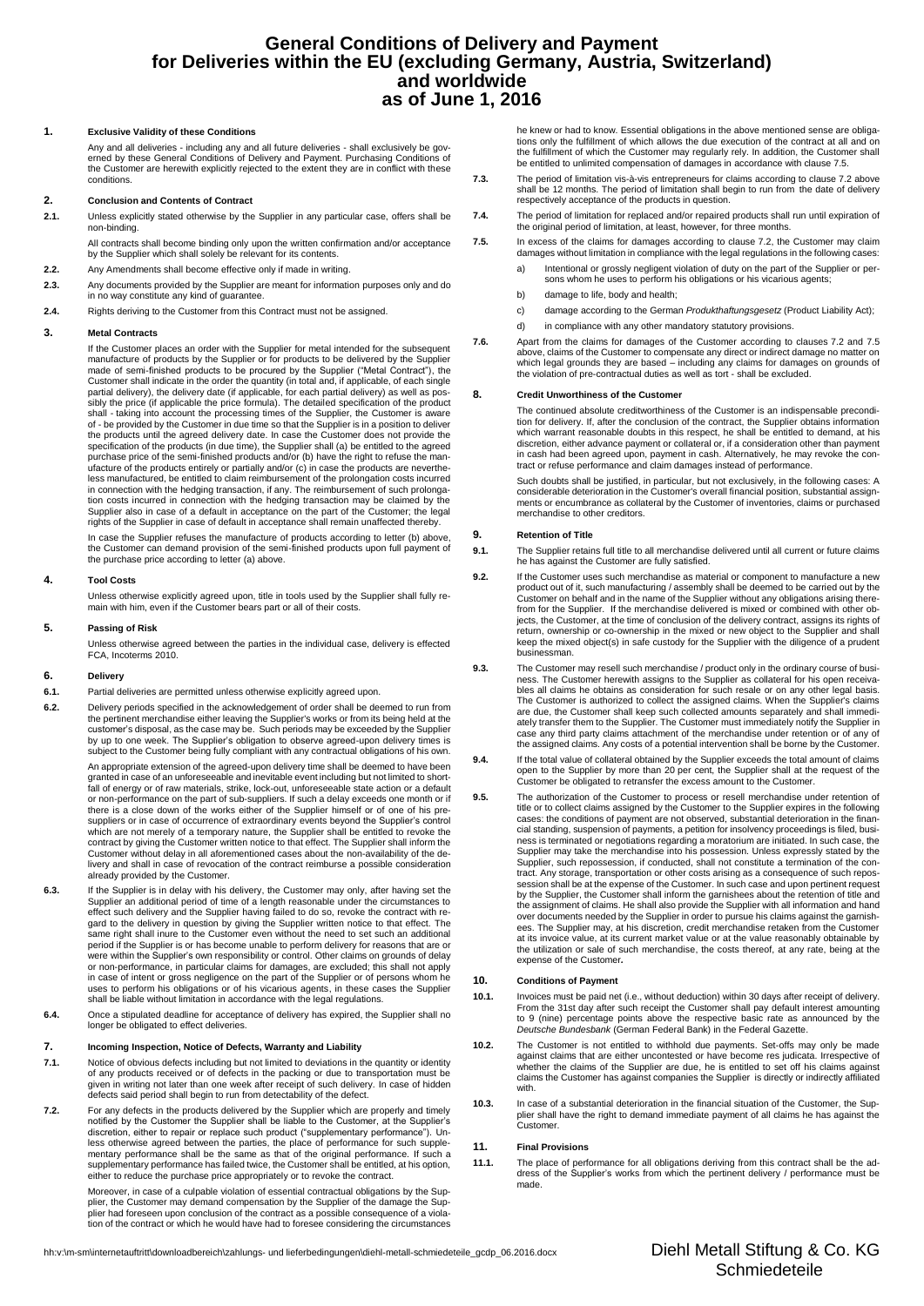# **General Conditions of Delivery and Payment for Deliveries within the EU (excluding Germany, Austria, Switzerland) and worldwide as of June 1, 2016**

# **1. Exclusive Validity of these Conditions**

Any and all deliveries - including any and all future deliveries - shall exclusively be governed by these General Conditions of Delivery and Payment. Purchasing Conditions of the Customer are herewith explicitly rejected to the extent they are in conflict with these conditions.

# **2. Conclusion and Contents of Contract**

**2.1.** Unless explicitly stated otherwise by the Supplier in any particular case, offers shall be non-binding.

All contracts shall become binding only upon the written confirmation and/or acceptance by the Supplier which shall solely be relevant for its contents.

- **2.2.** Any Amendments shall become effective only if made in writing.
- **2.3.** Any documents provided by the Supplier are meant for information purposes only and do in no way constitute any kind of guarantee.
- **2.4.** Rights deriving to the Customer from this Contract must not be assigned.

# **3. Metal Contracts**

If the Customer places an order with the Supplier for metal intended for the subsequent manufacture of products by the Supplier or for products to be delivered by the Supplier made of semi-finished products to be procured by the Supplier ("Metal Contract"), the Customer shall indicate in the order the quantity (in total and, if applicable, of each single<br>partial delivery), the delivery date (if applicable, for each partial delivery) as well as pos-<br>sibly the price (if applicable shall - taking into account the processing times of the Supplier, the Customer is aware of - be provided by the Customer in due time so that the Supplier is in a position to deliver the products until the agreed delivery date. In case the Customer does not provide the specification of the products (in due time), the Supplier shall (a) be entitled to the agreed purchase price of the semi-finished products and/or (b) have the right to refuse the manufacture of the products entirely or partially and/or (c) in case the products are neverthe-less manufactured, be entitled to claim reimbursement of the prolongation costs incurred in connection with the hedging transaction, if any. The reimbursement of such prolonga-tion costs incurred in connection with the hedging transaction may be claimed by the Supplier also in case of a default in acceptance on the part of the Customer; the legal rights of the Supplier in case of default in acceptance shall remain unaffected thereby.

In case the Supplier refuses the manufacture of products according to letter (b) above, the Customer can demand provision of the semi-finished products upon full payment of the purchase price according to letter (a) above.

## **4. Tool Costs**

Unless otherwise explicitly agreed upon, title in tools used by the Supplier shall fully remain with him, even if the Customer bears part or all of their costs.

## **5. Passing of Risk**

Unless otherwise agreed between the parties in the individual case, delivery is effected FCA, Incoterms 2010.

### **6. Delivery**

- **6.1.** Partial deliveries are permitted unless otherwise explicitly agreed upon.
- **6.2.** Delivery periods specified in the acknowledgement of order shall be deemed to run from the pertinent merchandise either leaving the Supplier's works or from its being held at the customer's disposal, as the case may be. Such periods may be exceeded by the Supplier by up to one week. The Supplier's obligation to observe agreed-upon delivery times is subject to the Customer being fully compliant with any contractual obligations of his own.

An appropriate extension of the agreed-upon delivery time shall be deemed to have been granted in case of an unforeseeable and inevitable event including but not limited to short-fall of energy or of raw materials, strike, lock-out, unforeseeable state action or a default or non-performance on the part of sub-suppliers. If such a delay exceeds one month or if there is a close down of the works either of the Supplier himself or of one of his presuppliers or in case of occurrence of extraordinary events beyond the Supplier's control which are not merely of a temporary nature, the Supplier shall be entitled to revoke the contract by giving the Customer written notice to that effect. The Supplier shall inform the Customer without delay in all aforementioned cases about the non-availability of the delivery and shall in case of revocation of the contract reimburse a possible consideration already provided by the Customer.

- **6.3.** If the Supplier is in delay with his delivery, the Customer may only, after having set the Supplier an additional period of time of a length reasonable under the circumstances to effect such delivery and the Supplier having failed to do so, revoke the contract with re-gard to the delivery in question by giving the Supplier written notice to that effect. The same right shall inure to the Customer even without the need to set such an additional period if the Supplier is or has become unable to perform delivery for reasons that are or were within the Supplier's own responsibility or control. Other claims on grounds of delay or non-performance, in particular claims for damages, are excluded; this shall not apply in case of intent or gross negligence on the part of the Supplier or of persons whom he uses to perform his obligations or of his vicarious agents, in these cases the Supplier shall be liable without limitation in accordance with the legal regulations.
- **6.4.** Once a stipulated deadline for acceptance of delivery has expired, the Supplier shall no longer be obligated to effect deliveries.

## **7. Incoming Inspection, Notice of Defects, Warranty and Liability**

- **7.1.** Notice of obvious defects including but not limited to deviations in the quantity or identity of any products received or of defects in the packing or due to transportation must be given in writing not later than one week after receipt of such delivery. In case of hidden defects said period shall begin to run from detectability of the defect.
- **7.2.** For any defects in the products delivered by the Supplier which are properly and timely notified by the Customer the Supplier shall be liable to the Customer, at the Supplier's discretion, either to repair or replace such product ("supplementary performance"). Unless otherwise agreed between the parties, the place of performance for such supple-mentary performance shall be the same as that of the original performance. If such a supplementary performance has failed twice, the Customer shall be entitled, at his option, either to reduce the purchase price appropriately or to revoke the contract.

Moreover, in case of a culpable violation of essential contractual obligations by the Supplier, the Customer may demand compensation by the Supplier of the damage the Supplier had foreseen upon conclusion of the contract as a possible consequence of a viola-tion of the contract or which he would have had to foresee considering the circumstances he knew or had to know. Essential obligations in the above mentioned sense are obligations only the fulfillment of which allows the due execution of the contract at all and on the fulfillment of which the Customer may regularly rely. In addition, the Customer shall be entitled to unlimited compensation of damages in accordance with clause 7.5.

- **7.3.** The period of limitation vis-à-vis entrepreneurs for claims according to clause 7.2 above shall be 12 months. The period of limitation shall begin to run from the date of delivery respectively acceptance of the products in question.
- **7.4.** The period of limitation for replaced and/or repaired products shall run until expiration of the original period of limitation, at least, however, for three months.
- **7.5.** In excess of the claims for damages according to clause 7.2, the Customer may claim damages without limitation in compliance with the legal regulations in the following cases:
	- a) Intentional or grossly negligent violation of duty on the part of the Supplier or per-sons whom he uses to perform his obligations or his vicarious agents;
	- b) damage to life, body and health;
	- c) damage according to the German *Produkthaftungsgesetz* (Product Liability Act);
	- d) in compliance with any other mandatory statutory provisions.
- 7.6. Apart from the claims for damages of the Customer according to clauses 7.2 and 7.5<br>above, claims of the Customer to compensate any direct or indirect damage no matter on<br>which legal grounds they are based including the violation of pre-contractual duties as well as tort - shall be excluded.

# **8. Credit Unworthiness of the Customer**

The continued absolute creditworthiness of the Customer is an indispensable precondition for delivery. If, after the conclusion of the contract, the Supplier obtains information which warrant reasonable doubts in this respect, he shall be entitled to demand, at his discretion, either advance payment or collateral or, if a consideration other than payment in cash had been agreed upon, payment in cash. Alternatively, he may revoke the con-tract or refuse performance and claim damages instead of performance.

Such doubts shall be justified, in particular, but not exclusively, in the following cases: A considerable deterioration in the Customer's overall financial position, substantial assignments or encumbrance as collateral by the Customer of inventories, claims or purchased merchandise to other creditors.

## **9. Retention of Title**

- **9.1.** The Supplier retains full title to all merchandise delivered until all current or future claims he has against the Customer are fully satisfied.
- 9.2. If the Customer uses such merchandise as material or component to manufacture a new<br>product out of it, such manufacturing / assembly shall be deemed to be carried out by the<br>Customer on behalf and in the name of the S jects, the Customer, at the time of conclusion of the delivery contract, assigns its rights of return, ownership or co-ownership in the mixed or new object to the Supplier and shall keep the mixed object(s) in safe custody for the Supplier with the diligence of a prudent businessman.
- **9.3.** The Customer may resell such merchandise / product only in the ordinary course of busi-ness. The Customer herewith assigns to the Supplier as collateral for his open receivables all claims he obtains as consideration for such resale or on any other legal basis. The Customer is authorized to collect the assigned claims. When the Supplier's claims are due, the Customer shall keep such collected amounts separately and shall immedi-ately transfer them to the Supplier. The Customer must immediately notify the Supplier in case any third party claims attachment of the merchandise under retention or of any of the assigned claims. Any costs of a potential intervention shall be borne by the Customer.
- **9.4.** If the total value of collateral obtained by the Supplier exceeds the total amount of claims open to the Supplier by more than 20 per cent, the Supplier shall at the request of the Customer be obligated to retransfer the excess amount to the Customer.
- **9.5.** The authorization of the Customer to process or resell merchandise under retention of title or to collect claims assigned by the Customer to the Supplier expires in the following cases: the conditions of payment are not observed, substantial deterioration in the financial standing, suspension of payments, a petition for insolvency proceedings is filed, busi-ness is terminated or negotiations regarding a moratorium are initiated. In such case, the Supplier may take the merchandise into his possession. Unless expressly stated by the Supplier, such repossession, if conducted, shall not constitute a termination of the contract. Any storage, transportation or other costs arising as a consequence of such repos-session shall be at the expense of the Customer. In such case and upon pertinent request by the Supplier, the Customer shall inform the garnishees about the retention of title and the assignment of claims. He shall also provide the Supplier with all information and hand over documents needed by the Supplier in order to pursue his claims against the garnish-ees. The Supplier may, at his discretion, credit merchandise retaken from the Customer at its invoice value, at its current market value or at the value reasonably obtainable by the utilization or sale of such merchandise, the costs thereof, at any rate, being at the expense of the Customer*.*

## **10. Conditions of Payment**

- **10.1.** Invoices must be paid net (i.e., without deduction) within 30 days after receipt of delivery. From the 31st day after such receipt the Customer shall pay default interest amounting to 9 (nine) percentage points above the respective basic rate as announced by the *Deutsche Bundesbank* (German Federal Bank) in the Federal Gazette.
- **10.2.** The Customer is not entitled to withhold due payments. Set-offs may only be made against claims that are either uncontested or have become res judicata. Irrespective of whether the claims of the Supplier are due, he is entitled to set off his claims against claims the Customer has against companies the Supplier is directly or indirectly affiliated with.
- **10.3.** In case of a substantial deterioration in the financial situation of the Customer, the Sup-<br>plier shall have the right to demand immediate payment of all claims he has against the Customer.

## **11. Final Provisions**

**11.1.** The place of performance for all obligations deriving from this contract shall be the address of the Supplier's works from which the pertinent delivery / performance must be made.